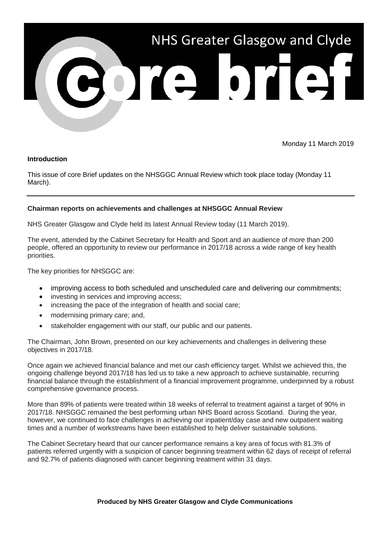

Monday 11 March 2019

## **Introduction**

This issue of core Brief updates on the NHSGGC Annual Review which took place today (Monday 11 March).

## **Chairman reports on achievements and challenges at NHSGGC Annual Review**

NHS Greater Glasgow and Clyde held its latest Annual Review today (11 March 2019).

The event, attended by the Cabinet Secretary for Health and Sport and an audience of more than 200 people, offered an opportunity to review our performance in 2017/18 across a wide range of key health priorities.

The key priorities for NHSGGC are:

- improving access to both scheduled and unscheduled care and delivering our commitments;
- investing in services and improving access:
- increasing the pace of the integration of health and social care;
- modernising primary care; and,
- stakeholder engagement with our staff, our public and our patients.

The Chairman, John Brown, presented on our key achievements and challenges in delivering these objectives in 2017/18.

Once again we achieved financial balance and met our cash efficiency target. Whilst we achieved this, the ongoing challenge beyond 2017/18 has led us to take a new approach to achieve sustainable, recurring financial balance through the establishment of a financial improvement programme, underpinned by a robust comprehensive governance process.

More than 89% of patients were treated within 18 weeks of referral to treatment against a target of 90% in 2017/18. NHSGGC remained the best performing urban NHS Board across Scotland. During the year, however, we continued to face challenges in achieving our inpatient/day case and new outpatient waiting times and a number of workstreams have been established to help deliver sustainable solutions.

The Cabinet Secretary heard that our cancer performance remains a key area of focus with 81.3% of patients referred urgently with a suspicion of cancer beginning treatment within 62 days of receipt of referral and 92.7% of patients diagnosed with cancer beginning treatment within 31 days.